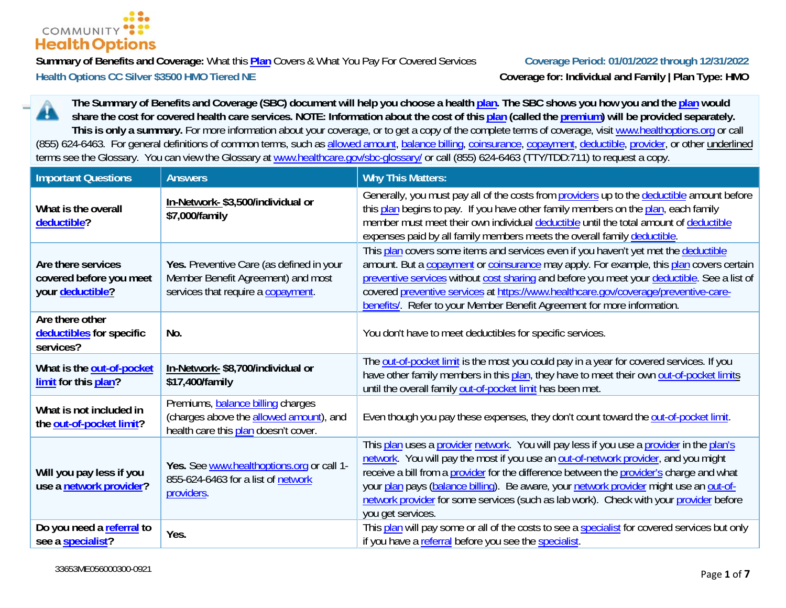

**Summary of Benefits and Coverage:** What this **Plan** Covers & What You Pay For Covered Services **Coverage Period: 01/01/2022 through 12/31/2022** Health Options CC Silver \$3500 HMO Tiered NE Coverage for: Individual and Family | Plan Type: HMO

**The Summary of Benefits and Coverage (SBC) document will help you choose a health plan. The SBC shows you how you and the plan would**  ĸ **share the cost for covered health care services. NOTE: Information about the cost of this plan (called the premium) will be provided separately.**  This is only a summary. For more information about your coverage, or to get a copy of the complete terms of coverage, visit www.healthoptions.org or call (855) 624-6463. For general definitions of common terms, such as allowed amount, balance billing, coinsurance, copayment, deductible, provider, or other underlined terms see the Glossary. You can view the Glossary at www.healthcare.gov/sbc-glossary/ or call (855) 624-6463 (TTY/TDD:711) to request a copy.

| <b>Important Questions</b>                                        | <b>Answers</b>                                                                                                       | <b>Why This Matters:</b>                                                                                                                                                                                                                                                                                                                                                                                                                                                             |
|-------------------------------------------------------------------|----------------------------------------------------------------------------------------------------------------------|--------------------------------------------------------------------------------------------------------------------------------------------------------------------------------------------------------------------------------------------------------------------------------------------------------------------------------------------------------------------------------------------------------------------------------------------------------------------------------------|
| What is the overall<br>deductible?                                | In-Network-\$3,500/individual or<br>\$7,000/family                                                                   | Generally, you must pay all of the costs from providers up to the deductible amount before<br>this plan begins to pay. If you have other family members on the plan, each family<br>member must meet their own individual deductible until the total amount of deductible<br>expenses paid by all family members meets the overall family deductible.                                                                                                                                |
| Are there services<br>covered before you meet<br>your deductible? | Yes. Preventive Care (as defined in your<br>Member Benefit Agreement) and most<br>services that require a copayment. | This plan covers some items and services even if you haven't yet met the deductible<br>amount. But a copayment or coinsurance may apply. For example, this plan covers certain<br>preventive services without cost sharing and before you meet your deductible. See a list of<br>covered preventive services at https://www.healthcare.gov/coverage/preventive-care-<br>benefits/. Refer to your Member Benefit Agreement for more information.                                      |
| Are there other<br>deductibles for specific<br>services?          | No.                                                                                                                  | You don't have to meet deductibles for specific services.                                                                                                                                                                                                                                                                                                                                                                                                                            |
| What is the out-of-pocket<br>limit for this plan?                 | In-Network-\$8,700/individual or<br>\$17,400/family                                                                  | The out-of-pocket limit is the most you could pay in a year for covered services. If you<br>have other family members in this plan, they have to meet their own out-of-pocket limits<br>until the overall family out-of-pocket limit has been met.                                                                                                                                                                                                                                   |
| What is not included in<br>the out-of-pocket limit?               | Premiums, balance billing charges<br>(charges above the allowed amount), and<br>health care this plan doesn't cover. | Even though you pay these expenses, they don't count toward the out-of-pocket limit.                                                                                                                                                                                                                                                                                                                                                                                                 |
| Will you pay less if you<br>use a network provider?               | Yes. See www.healthoptions.org or call 1-<br>855-624-6463 for a list of network<br>providers.                        | This plan uses a provider network. You will pay less if you use a provider in the plan's<br>network. You will pay the most if you use an out-of-network provider, and you might<br>receive a bill from a provider for the difference between the provider's charge and what<br>your plan pays (balance billing). Be aware, your network provider might use an out-of-<br>network provider for some services (such as lab work). Check with your provider before<br>you get services. |
| Do you need a referral to<br>see a specialist?                    | Yes.                                                                                                                 | This plan will pay some or all of the costs to see a specialist for covered services but only<br>if you have a referral before you see the specialist.                                                                                                                                                                                                                                                                                                                               |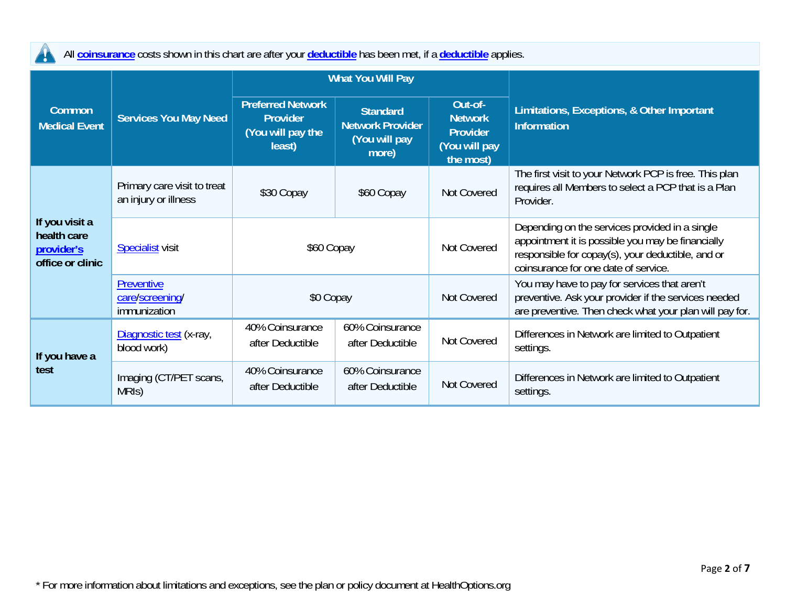All **coinsurance** costs shown in this chart are after your **deductible** has been met, if a **deductible** applies.

 $\blacktriangle$ 

|                                                                 |                                                     | <b>What You Will Pay</b>                                                   |                                                                      |                                                                            |                                                                                                                                                                                                  |
|-----------------------------------------------------------------|-----------------------------------------------------|----------------------------------------------------------------------------|----------------------------------------------------------------------|----------------------------------------------------------------------------|--------------------------------------------------------------------------------------------------------------------------------------------------------------------------------------------------|
| <b>Common</b><br><b>Medical Event</b>                           | <b>Services You May Need</b>                        | <b>Preferred Network</b><br><b>Provider</b><br>(You will pay the<br>least) | <b>Standard</b><br><b>Network Provider</b><br>(You will pay<br>more) | Out-of-<br><b>Network</b><br><b>Provider</b><br>(You will pay<br>the most) | Limitations, Exceptions, & Other Important<br><b>Information</b>                                                                                                                                 |
|                                                                 | Primary care visit to treat<br>an injury or illness | \$30 Copay                                                                 | \$60 Copay                                                           | Not Covered                                                                | The first visit to your Network PCP is free. This plan<br>requires all Members to select a PCP that is a Plan<br>Provider.                                                                       |
| If you visit a<br>health care<br>provider's<br>office or clinic | <b>Specialist</b> visit                             | \$60 Copay                                                                 |                                                                      | Not Covered                                                                | Depending on the services provided in a single<br>appointment it is possible you may be financially<br>responsible for copay(s), your deductible, and or<br>coinsurance for one date of service. |
|                                                                 | Preventive<br>care/screening/<br>immunization       | \$0 Copay                                                                  |                                                                      | Not Covered                                                                | You may have to pay for services that aren't<br>preventive. Ask your provider if the services needed<br>are preventive. Then check what your plan will pay for.                                  |
| If you have a                                                   | Diagnostic test (x-ray,<br>blood work)              | 40% Coinsurance<br>after Deductible                                        | 60% Coinsurance<br>after Deductible                                  | Not Covered                                                                | Differences in Network are limited to Outpatient<br>settings.                                                                                                                                    |
| test                                                            | Imaging (CT/PET scans,<br>MRIS)                     | 40% Coinsurance<br>after Deductible                                        | 60% Coinsurance<br>after Deductible                                  | Not Covered                                                                | Differences in Network are limited to Outpatient<br>settings.                                                                                                                                    |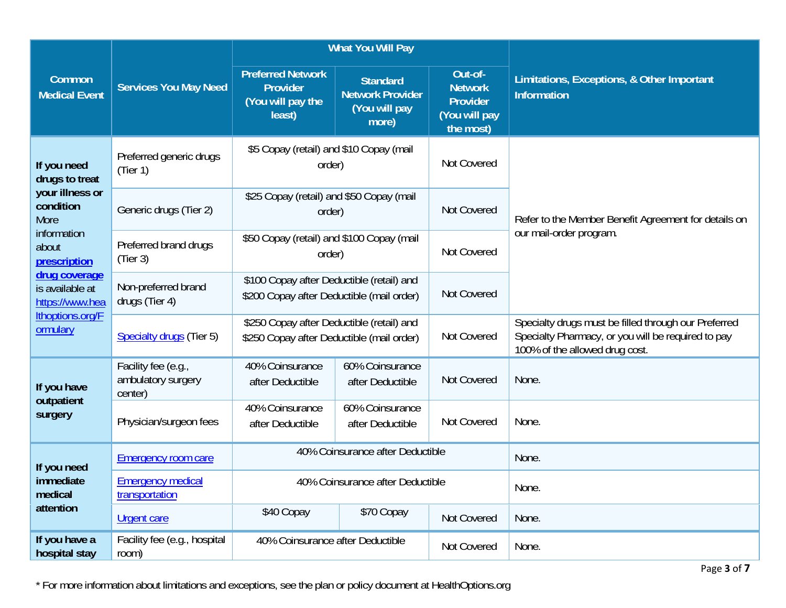|                                                                           |                                                      | <b>What You Will Pay</b>                                                               |                                                                                        |                                                                            |                                                                                                                                              |
|---------------------------------------------------------------------------|------------------------------------------------------|----------------------------------------------------------------------------------------|----------------------------------------------------------------------------------------|----------------------------------------------------------------------------|----------------------------------------------------------------------------------------------------------------------------------------------|
| Common<br><b>Medical Event</b>                                            | <b>Services You May Need</b>                         | <b>Preferred Network</b><br>Provider<br>(You will pay the<br>least)                    | <b>Standard</b><br><b>Network Provider</b><br>(You will pay<br>more)                   | Out-of-<br><b>Network</b><br><b>Provider</b><br>(You will pay<br>the most) | Limitations, Exceptions, & Other Important<br><b>Information</b>                                                                             |
| If you need<br>drugs to treat                                             | Preferred generic drugs<br>(Tier 1)                  | \$5 Copay (retail) and \$10 Copay (mail<br>order)                                      |                                                                                        | Not Covered                                                                |                                                                                                                                              |
| your illness or<br>condition<br><b>More</b>                               | Generic drugs (Tier 2)                               | \$25 Copay (retail) and \$50 Copay (mail<br>order)                                     |                                                                                        | Not Covered                                                                | Refer to the Member Benefit Agreement for details on                                                                                         |
| information<br>Preferred brand drugs<br>about<br>(Tier 3)<br>prescription |                                                      | \$50 Copay (retail) and \$100 Copay (mail<br>order)                                    |                                                                                        | Not Covered                                                                | our mail-order program.                                                                                                                      |
| drug coverage<br>is available at<br>https://www.hea                       | Non-preferred brand<br>drugs (Tier 4)                | \$100 Copay after Deductible (retail) and<br>\$200 Copay after Deductible (mail order) |                                                                                        | Not Covered                                                                |                                                                                                                                              |
| Ithoptions.org/F<br>ormulary                                              | Specialty drugs (Tier 5)                             |                                                                                        | \$250 Copay after Deductible (retail) and<br>\$250 Copay after Deductible (mail order) |                                                                            | Specialty drugs must be filled through our Preferred<br>Specialty Pharmacy, or you will be required to pay<br>100% of the allowed drug cost. |
| If you have<br>outpatient                                                 | Facility fee (e.g.,<br>ambulatory surgery<br>center) | 40% Coinsurance<br>after Deductible                                                    | 60% Coinsurance<br>after Deductible                                                    | Not Covered                                                                | None.                                                                                                                                        |
| surgery                                                                   | Physician/surgeon fees                               | 40% Coinsurance<br>after Deductible                                                    | 60% Coinsurance<br>after Deductible                                                    | Not Covered                                                                | None.                                                                                                                                        |
| If you need                                                               | <b>Emergency room care</b>                           |                                                                                        | 40% Coinsurance after Deductible                                                       |                                                                            | None.                                                                                                                                        |
| immediate<br>medical                                                      | <b>Emergency medical</b><br>transportation           | 40% Coinsurance after Deductible                                                       |                                                                                        |                                                                            | None.                                                                                                                                        |
| attention                                                                 | <b>Urgent care</b>                                   | \$40 Copay                                                                             | \$70 Copay                                                                             | Not Covered                                                                | None.                                                                                                                                        |
| If you have a<br>hospital stay                                            | Facility fee (e.g., hospital<br>room)                | 40% Coinsurance after Deductible                                                       |                                                                                        | Not Covered                                                                | None.                                                                                                                                        |

\* For more information about limitations and exceptions, see the plan or policy document at HealthOptions.org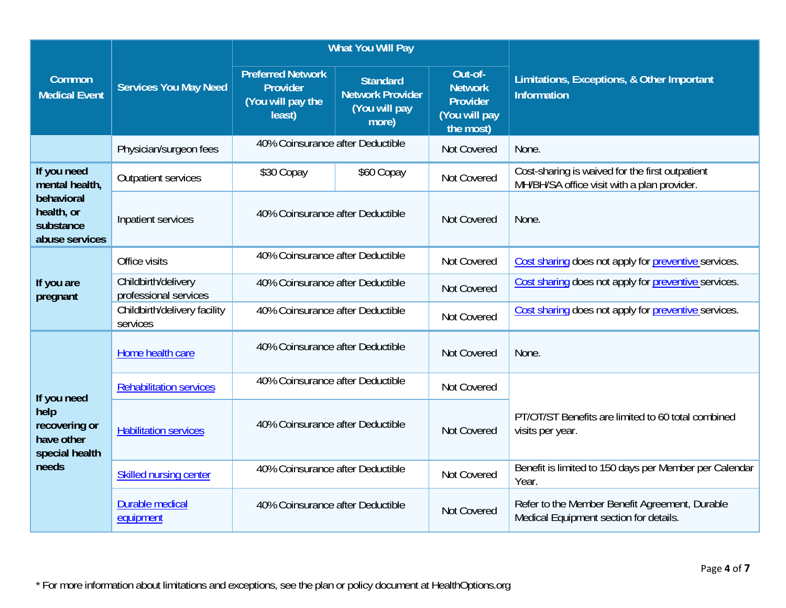|                                                         |                                              | <b>What You Will Pay</b>                                            |                                                                      |                                                                            |                                                                                                |
|---------------------------------------------------------|----------------------------------------------|---------------------------------------------------------------------|----------------------------------------------------------------------|----------------------------------------------------------------------------|------------------------------------------------------------------------------------------------|
| Common<br><b>Medical Event</b>                          | <b>Services You May Need</b>                 | <b>Preferred Network</b><br>Provider<br>(You will pay the<br>least) | <b>Standard</b><br><b>Network Provider</b><br>(You will pay<br>more) | Out-of-<br><b>Network</b><br><b>Provider</b><br>(You will pay<br>the most) | Limitations, Exceptions, & Other Important<br><b>Information</b>                               |
|                                                         | Physician/surgeon fees                       | 40% Coinsurance after Deductible                                    |                                                                      | Not Covered                                                                | None.                                                                                          |
| If you need<br>mental health,                           | <b>Outpatient services</b>                   | \$30 Copay                                                          | \$60 Copay                                                           | Not Covered                                                                | Cost-sharing is waived for the first outpatient<br>MH/BH/SA office visit with a plan provider. |
| behavioral<br>health, or<br>substance<br>abuse services | Inpatient services                           |                                                                     | 40% Coinsurance after Deductible                                     |                                                                            | None.                                                                                          |
|                                                         | Office visits                                | 40% Coinsurance after Deductible                                    |                                                                      | Not Covered                                                                | Cost sharing does not apply for preventive services.                                           |
| If you are<br>pregnant                                  | Childbirth/delivery<br>professional services | 40% Coinsurance after Deductible                                    |                                                                      | Not Covered                                                                | Cost sharing does not apply for preventive services.                                           |
|                                                         | Childbirth/delivery facility<br>services     | 40% Coinsurance after Deductible                                    |                                                                      | Not Covered                                                                | Cost sharing does not apply for preventive services.                                           |
|                                                         | Home health care                             | 40% Coinsurance after Deductible                                    |                                                                      | Not Covered                                                                | None.                                                                                          |
| If you need                                             | <b>Rehabilitation services</b>               | 40% Coinsurance after Deductible                                    |                                                                      | Not Covered                                                                |                                                                                                |
| help<br>recovering or<br>have other<br>special health   | <b>Habilitation services</b>                 | 40% Coinsurance after Deductible                                    |                                                                      | Not Covered                                                                | PT/OT/ST Benefits are limited to 60 total combined<br>visits per year.                         |
| needs                                                   | <b>Skilled nursing center</b>                | 40% Coinsurance after Deductible                                    |                                                                      | Not Covered                                                                | Benefit is limited to 150 days per Member per Calendar<br>Year.                                |
|                                                         | Durable medical<br>equipment                 | 40% Coinsurance after Deductible                                    |                                                                      | Not Covered                                                                | Refer to the Member Benefit Agreement, Durable<br>Medical Equipment section for details.       |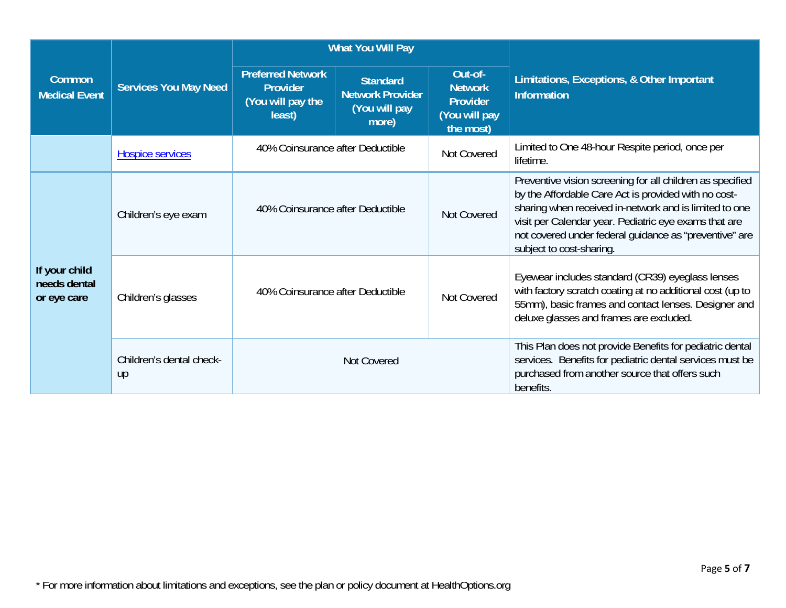|                                              |                                | <b>What You Will Pay</b>                                                   |                                                                      |                                                                            |                                                                                                                                                                                                                                                                                                                            |
|----------------------------------------------|--------------------------------|----------------------------------------------------------------------------|----------------------------------------------------------------------|----------------------------------------------------------------------------|----------------------------------------------------------------------------------------------------------------------------------------------------------------------------------------------------------------------------------------------------------------------------------------------------------------------------|
| Common<br>Medical Event                      | <b>Services You May Need</b>   | <b>Preferred Network</b><br><b>Provider</b><br>(You will pay the<br>least) | <b>Standard</b><br><b>Network Provider</b><br>(You will pay<br>more) | Out-of-<br><b>Network</b><br><b>Provider</b><br>(You will pay<br>the most) | Limitations, Exceptions, & Other Important<br><b>Information</b>                                                                                                                                                                                                                                                           |
|                                              | <b>Hospice services</b>        | 40% Coinsurance after Deductible                                           |                                                                      | Not Covered                                                                | Limited to One 48-hour Respite period, once per<br>lifetime.                                                                                                                                                                                                                                                               |
|                                              | Children's eye exam            | 40% Coinsurance after Deductible                                           |                                                                      | Not Covered                                                                | Preventive vision screening for all children as specified<br>by the Affordable Care Act is provided with no cost-<br>sharing when received in-network and is limited to one<br>visit per Calendar year. Pediatric eye exams that are<br>not covered under federal quidance as "preventive" are<br>subject to cost-sharing. |
| If your child<br>needs dental<br>or eye care | Children's glasses             | 40% Coinsurance after Deductible                                           |                                                                      | Not Covered                                                                | Eyewear includes standard (CR39) eyeglass lenses<br>with factory scratch coating at no additional cost (up to<br>55mm), basic frames and contact lenses. Designer and<br>deluxe glasses and frames are excluded.                                                                                                           |
|                                              | Children's dental check-<br>up | Not Covered                                                                |                                                                      |                                                                            | This Plan does not provide Benefits for pediatric dental<br>services. Benefits for pediatric dental services must be<br>purchased from another source that offers such<br>benefits.                                                                                                                                        |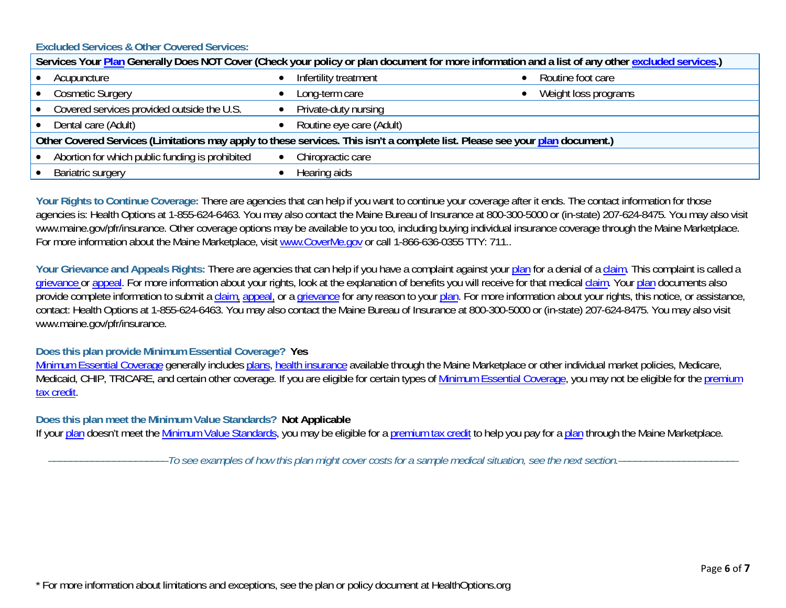**Excluded Services & Other Covered Services:** 

| Services Your Plan Generally Does NOT Cover (Check your policy or plan document for more information and a list of any other excluded services.) |                            |                      |  |  |
|--------------------------------------------------------------------------------------------------------------------------------------------------|----------------------------|----------------------|--|--|
| Acupuncture                                                                                                                                      | Infertility treatment      | Routine foot care    |  |  |
| <b>Cosmetic Surgery</b>                                                                                                                          | Long-term care             | Weight loss programs |  |  |
| Covered services provided outside the U.S.                                                                                                       | • Private-duty nursing     |                      |  |  |
| Dental care (Adult)                                                                                                                              | • Routine eye care (Adult) |                      |  |  |
| Other Covered Services (Limitations may apply to these services. This isn't a complete list. Please see your plan document.)                     |                            |                      |  |  |
| Abortion for which public funding is prohibited                                                                                                  | Chiropractic care          |                      |  |  |
| <b>Bariatric surgery</b>                                                                                                                         | Hearing aids               |                      |  |  |

Your Rights to Continue Coverage: There are agencies that can help if you want to continue your coverage after it ends. The contact information for those agencies is: Health Options at 1-855-624-6463. You may also contact the Maine Bureau of Insurance at 800-300-5000 or (in-state) 207-624-8475. You may also visit www.maine.gov/pfr/insurance. Other coverage options may be available to you too, including buying individual insurance coverage through the Maine Marketplace. For more information about the Maine Marketplace, visit www.CoverMe.gov or call 1-866-636-0355 TTY: 711..

Your Grievance and Appeals Rights: There are agencies that can help if you have a complaint against your plan for a denial of a claim. This complaint is called a grievance or appeal. For more information about your rights, look at the explanation of benefits you will receive for that medical claim. Your plan documents also provide complete information to submit a claim, appeal, or a grievance for any reason to your plan. For more information about your rights, this notice, or assistance, contact: Health Options at 1-855-624-6463. You may also contact the Maine Bureau of Insurance at 800-300-5000 or (in-state) 207-624-8475. You may also visit www.maine.gov/pfr/insurance.

**Does this plan provide Minimum Essential Coverage? Yes** 

Minimum Essential Coverage generally includes plans, health insurance available through the Maine Marketplace or other individual market policies, Medicare, Medicaid, CHIP, TRICARE, and certain other coverage. If you are eligible for certain types of Minimum Essential Coverage, you may not be eligible for the premium tax credit.

**Does this plan meet the Minimum Value Standards? Not Applicable**

If your plan doesn't meet the Minimum Value Standards, you may be eligible for a premium tax credit to help you pay for a plan through the Maine Marketplace.

––––––––––––––––––––––*To see examples of how this plan might cover costs for a sample medical situation, see the next section.–––––––––––*–––––––––––

\* For more information about limitations and exceptions, see the plan or policy document at HealthOptions.org